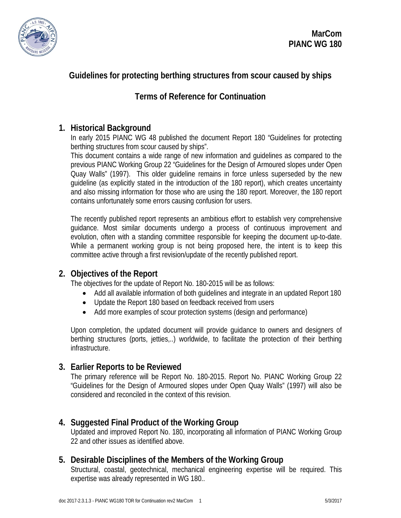

# **Guidelines for protecting berthing structures from scour caused by ships**

# **Terms of Reference for Continuation**

## **1. Historical Background**

In early 2015 PIANC WG 48 published the document Report 180 "Guidelines for protecting berthing structures from scour caused by ships".

This document contains a wide range of new information and guidelines as compared to the previous PIANC Working Group 22 "Guidelines for the Design of Armoured slopes under Open Quay Walls" (1997). This older guideline remains in force unless superseded by the new guideline (as explicitly stated in the introduction of the 180 report), which creates uncertainty and also missing information for those who are using the 180 report. Moreover, the 180 report contains unfortunately some errors causing confusion for users.

The recently published report represents an ambitious effort to establish very comprehensive guidance. Most similar documents undergo a process of continuous improvement and evolution, often with a standing committee responsible for keeping the document up-to-date. While a permanent working group is not being proposed here, the intent is to keep this committee active through a first revision/update of the recently published report.

## **2. Objectives of the Report**

The objectives for the update of Report No. 180-2015 will be as follows:

- Add all available information of both quidelines and integrate in an updated Report 180
- Update the Report 180 based on feedback received from users
- Add more examples of scour protection systems (design and performance)

Upon completion, the updated document will provide guidance to owners and designers of berthing structures (ports, jetties,..) worldwide, to facilitate the protection of their berthing infrastructure.

## **3. Earlier Reports to be Reviewed**

The primary reference will be Report No. 180-2015. Report No. PIANC Working Group 22 "Guidelines for the Design of Armoured slopes under Open Quay Walls" (1997) will also be considered and reconciled in the context of this revision.

## **4. Suggested Final Product of the Working Group**

Updated and improved Report No. 180, incorporating all information of PIANC Working Group 22 and other issues as identified above.

## **5. Desirable Disciplines of the Members of the Working Group**

Structural, coastal, geotechnical, mechanical engineering expertise will be required. This expertise was already represented in WG 180..